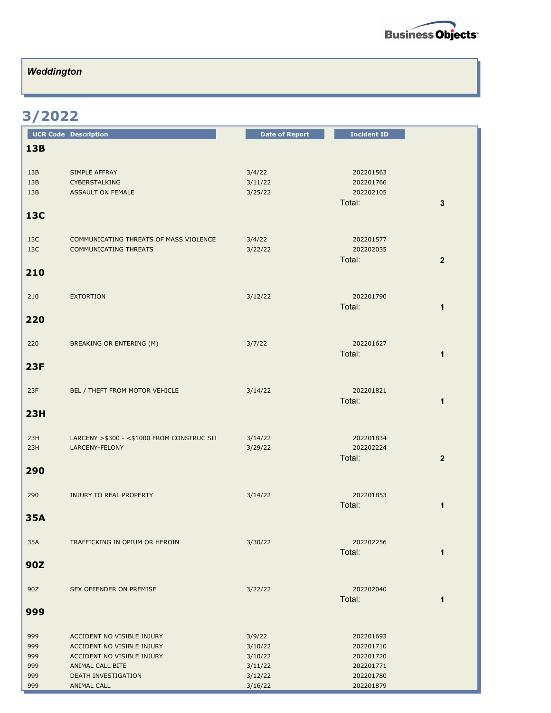

## *Weddington*

## **3/2022**

|            | <b>UCR Code Description</b>                  | <b>Date of Report</b> | <b>Incident ID</b> |                |
|------------|----------------------------------------------|-----------------------|--------------------|----------------|
| <b>13B</b> |                                              |                       |                    |                |
|            |                                              |                       |                    |                |
| 13B        | SIMPLE AFFRAY                                | 3/4/22                | 202201563          |                |
| 13B        | <b>CYBERSTALKING</b>                         | 3/11/22               | 202201766          |                |
| 13B        | <b>ASSAULT ON FEMALE</b>                     | 3/25/22               | 202202105          |                |
|            |                                              |                       | Total:             | 3              |
| <b>13C</b> |                                              |                       |                    |                |
|            |                                              |                       |                    |                |
| 13C        | COMMUNICATING THREATS OF MASS VIOLENCE       | 3/4/22                | 202201577          |                |
| 13C        | <b>COMMUNICATING THREATS</b>                 | 3/22/22               | 202202035          |                |
|            |                                              |                       | Total:             | $\overline{2}$ |
| 210        |                                              |                       |                    |                |
|            |                                              |                       |                    |                |
| 210        | <b>EXTORTION</b>                             | 3/12/22               | 202201790          |                |
|            |                                              |                       | Total:             | $\mathbf{1}$   |
|            |                                              |                       |                    |                |
| 220        |                                              |                       |                    |                |
|            |                                              |                       |                    |                |
| 220        | BREAKING OR ENTERING (M)                     | 3/7/22                | 202201627          |                |
|            |                                              |                       | Total:             | $\mathbf{1}$   |
| <b>23F</b> |                                              |                       |                    |                |
|            |                                              |                       |                    |                |
| 23F        | BEL / THEFT FROM MOTOR VEHICLE               | 3/14/22               | 202201821          |                |
|            |                                              |                       | Total:             | $\mathbf{1}$   |
| 23H        |                                              |                       |                    |                |
|            |                                              |                       |                    |                |
| 23H        | LARCENY > \$300 - < \$1000 FROM CONSTRUC SIT | 3/14/22               | 202201834          |                |
| 23H        | LARCENY-FELONY                               | 3/29/22               | 202202224          |                |
|            |                                              |                       | Total:             | $\mathbf{2}$   |
| 290        |                                              |                       |                    |                |
|            |                                              |                       |                    |                |
|            |                                              |                       | 202201853          |                |
| 290        | INJURY TO REAL PROPERTY                      | 3/14/22               | Total:             | 1              |
|            |                                              |                       |                    |                |
| <b>35A</b> |                                              |                       |                    |                |
|            |                                              |                       |                    |                |
| 35A        | TRAFFICKING IN OPIUM OR HEROIN               | 3/30/22               | 202202256          |                |
|            |                                              |                       | Total:             | 1              |
| 90Z        |                                              |                       |                    |                |
|            |                                              |                       |                    |                |
| 90Z        | SEX OFFENDER ON PREMISE                      | 3/22/22               | 202202040          |                |
|            |                                              |                       | Total:             | $\mathbf 1$    |
| 999        |                                              |                       |                    |                |
|            |                                              |                       |                    |                |
| 999        | ACCIDENT NO VISIBLE INJURY                   | 3/9/22                | 202201693          |                |
| 999        | ACCIDENT NO VISIBLE INJURY                   | 3/10/22               | 202201710          |                |
| 999        | ACCIDENT NO VISIBLE INJURY                   | 3/10/22               | 202201720          |                |
| 999        | ANIMAL CALL BITE                             | 3/11/22               | 202201771          |                |
| 999        | DEATH INVESTIGATION                          | 3/12/22               | 202201780          |                |
| 999        | <b>ANIMAL CALL</b>                           | 3/16/22               | 202201879          |                |